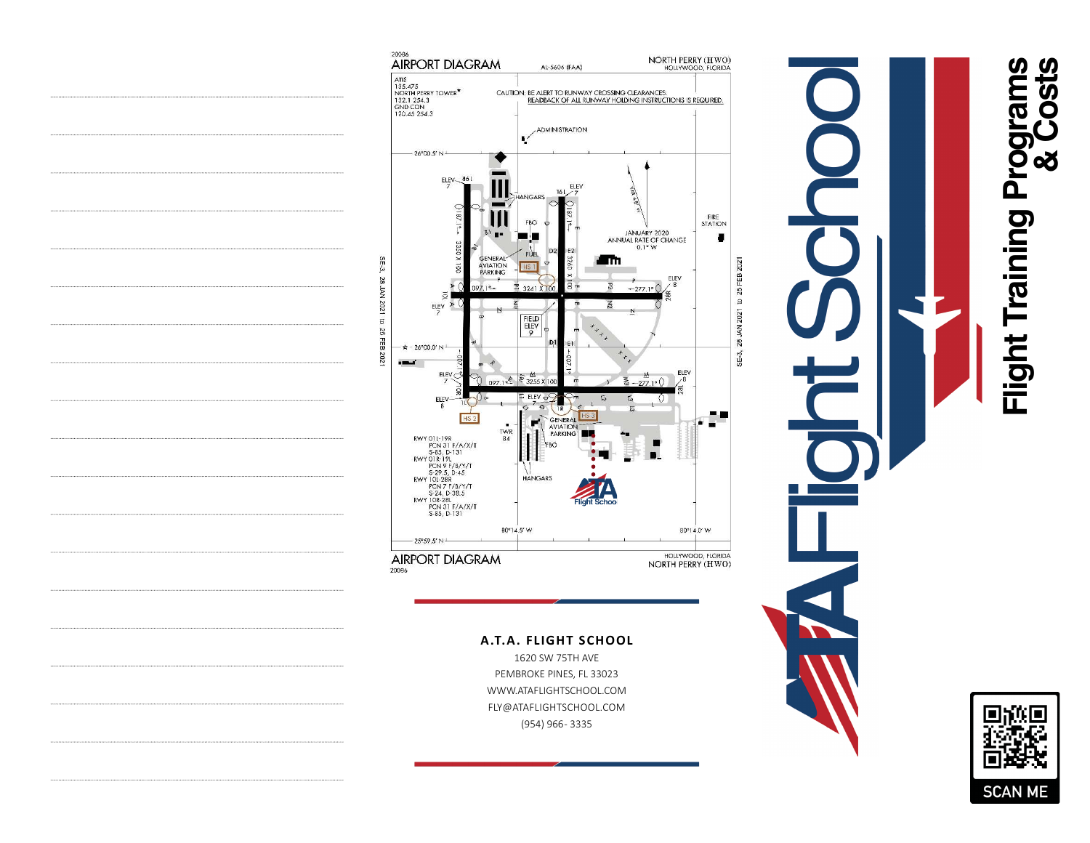





**A.T.A. FLIGHT SCHOOL**

1620 SW 75TH AVE PEMBROKE PINES, FL 33023WWW.ATAFLIGHTSCHOOL.COM FLY@ATAFLIGHTSCHOOL.COM(954) 966 - 3335